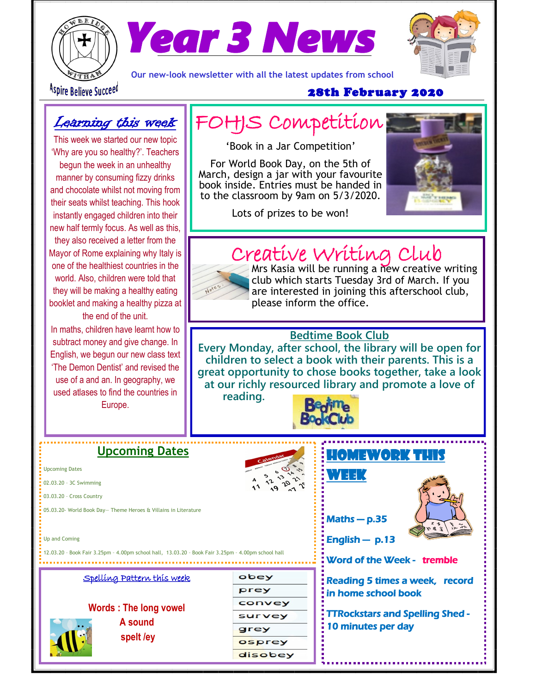



**Our new-look newsletter with all the latest updates from school**



Aspire Believe Succeed

#### 28th February 2020

## Learning this week

This week we started our new topic 'Why are you so healthy?'. Teachers begun the week in an unhealthy manner by consuming fizzy drinks and chocolate whilst not moving from their seats whilst teaching. This hook instantly engaged children into their new half termly focus. As well as this, they also received a letter from the Mayor of Rome explaining why Italy is one of the healthiest countries in the world. Also, children were told that they will be making a healthy eating booklet and making a healthy pizza at the end of the unit.

In maths, children have learnt how to subtract money and give change. In English, we begun our new class text 'The Demon Dentist' and revised the use of a and an. In geography, we used atlases to find the countries in Europe.

## FOHJS Competition

'Book in a Jar Competition'

For World Book Day, on the 5th of March, design a jar with your favourite book inside. Entries must be handed in to the classroom by 9am on 5/3/2020.



Lots of prizes to be won!

## Creative Writing Club



Mrs Kasia will be running a new creative writing club which starts Tuesday 3rd of March. If you are interested in joining this afterschool club, please inform the office.

### **Bedtime Book Club**

**Every Monday, after school, the library will be open for children to select a book with their parents. This is a great opportunity to chose books together, take a look at our richly resourced library and promote a love of** 

**reading.** 



#### **Upcoming Dates** HOMEWORK THIS Upcoming Dates WEEK 02.03.20 – 3C Swimming 03.03.20 – Cross Country 05.03.20- World Book Day— Theme Heroes & Villains in Literature Maths — p.35 Up and Coming English — p.13 12.03.20 – Book Fair 3.25pm – 4.00pm school hall, 13.03.20 – Book Fair 3.25pm – 4.00pm school hall Word of the Week - tremble Spelling Pattern this week obey Reading 5 times a week, record prey in home school book convey **Words : The long vowel**  TTRockstars and Spelling Shed survey **A sound** 10 minutes per day grey **spelt /ey**osprey disobey